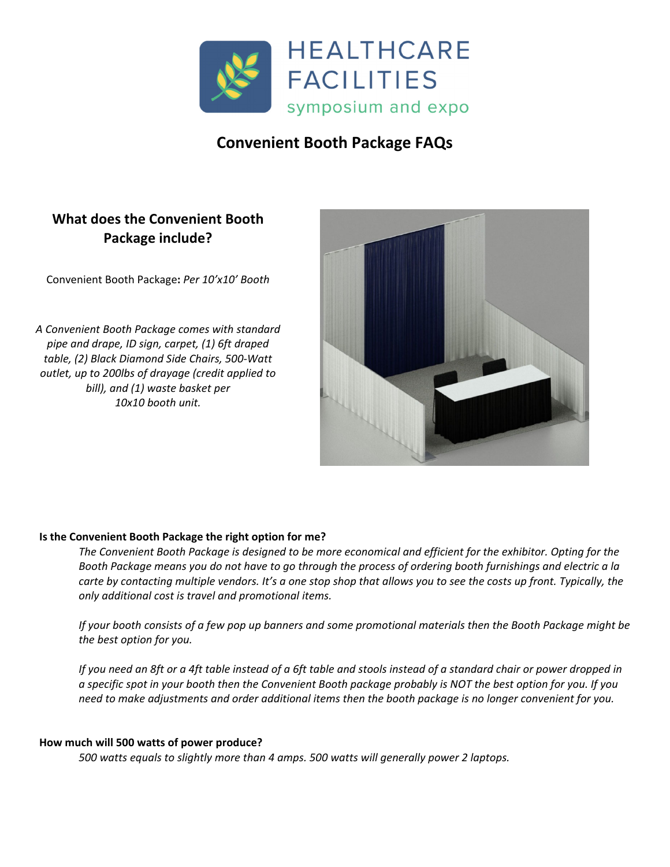

# **Convenient Booth Package FAQs**

# **What does the Convenient Booth Package include?**

Convenient Booth Package**:** *Per 10'x10' Booth*

*A Convenient Booth Package comes with standard pipe and drape, ID sign, carpet, (1) 6ft draped table, (2) Black Diamond Side Chairs, 500‐Watt outlet, up to 200lbs of drayage (credit applied to bill), and (1) waste basket per 10x10 booth unit.*



## **Is the Convenient Booth Package the right option for me?**

The Convenient Booth Package is designed to be more economical and efficient for the exhibitor. Opting for the Booth Package means you do not have to go through the process of ordering booth furnishings and electric a la carte by contacting multiple vendors. It's a one stop shop that allows you to see the costs up front. Typically, the *only additional cost is travel and promotional items.*

If your booth consists of a few pop up banners and some promotional materials then the Booth Package might be *the best option for you.*

If you need an 8ft or a 4ft table instead of a 6ft table and stools instead of a standard chair or power dropped in a specific spot in your booth then the Convenient Booth package probably is NOT the best option for you. If you need to make adjustments and order additional items then the booth package is no longer convenient for you.

## **How much will 500 watts of power produce?**

*500 watts equals to slightly more than 4 amps. 500 watts will generally power 2 laptops.*